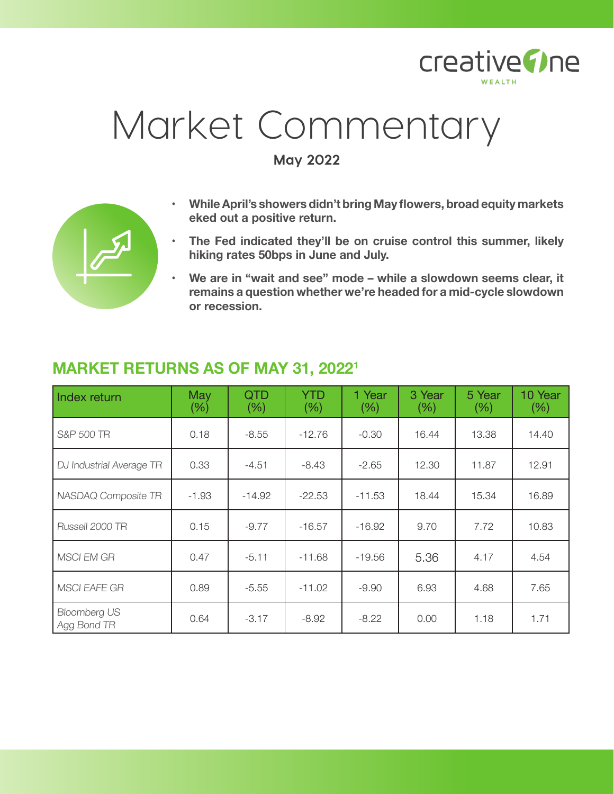

# Market Commentary

**May 2022**

- **• WhileApril's showers didn't bring May flowers, broad equity markets eked out a positive return.**
- **• The Fed indicated they'll be on cruise control this summer, likely hiking rates 50bps in June and July.**
- **• We are in "wait and see" mode – while a slowdown seems clear, it remains a question whether we're headed for a mid-cycle slowdown or recession.**

| Index return                       | May<br>(% ) | <b>QTD</b><br>(% ) | <b>YTD</b><br>(% ) | 1 Year<br>$(\% )$ | 3 Year<br>$(\% )$ | 5 Year<br>(% ) | 10 Year<br>(% ) |
|------------------------------------|-------------|--------------------|--------------------|-------------------|-------------------|----------------|-----------------|
| S&P 500 TR                         | 0.18        | $-8.55$            | $-12.76$           | $-0.30$           | 16.44             | 13.38          | 14.40           |
| DJ Industrial Average TR           | 0.33        | $-4.51$            | -8.43              | $-2.65$           | 12.30             | 11.87          | 12.91           |
| NASDAQ Composite TR                | $-1.93$     | $-14.92$           | $-22.53$           | $-11.53$          | 18.44             | 15.34          | 16.89           |
| Russell 2000 TR                    | 0.15        | $-9.77$            | $-16.57$           | $-16.92$          | 9.70              | 7.72           | 10.83           |
| <b>MSCI EM GR</b>                  | 0.47        | $-5.11$            | $-11.68$           | $-19.56$          | 5.36              | 4.17           | 4.54            |
| <b>MSCI EAFE GR</b>                | 0.89        | $-5.55$            | $-11.02$           | $-9.90$           | 6.93              | 4.68           | 7.65            |
| <b>Bloomberg US</b><br>Agg Bond TR | 0.64        | $-3.17$            | $-8.92$            | $-8.22$           | 0.00              | 1.18           | 1.71            |

## **MARKET RETURNS AS OF MAY 31, 20221**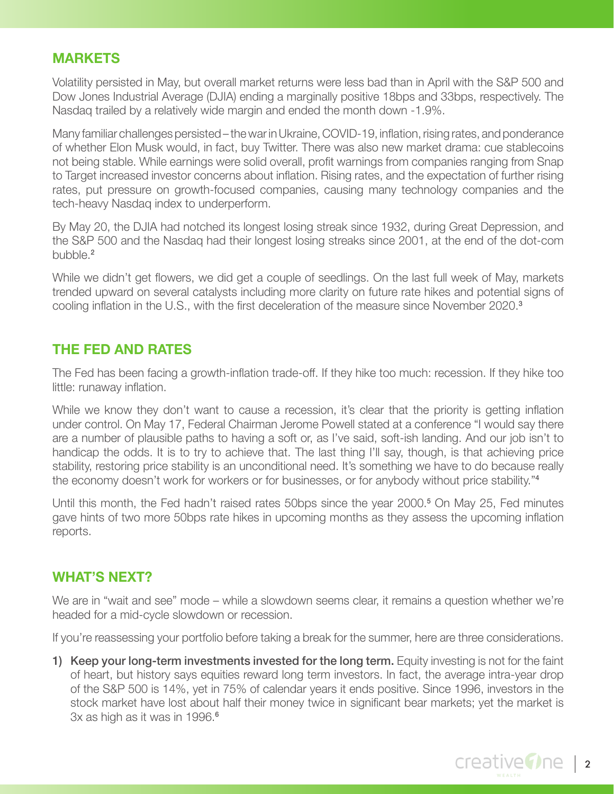#### **MARKETS**

Volatility persisted in May, but overall market returns were less bad than in April with the S&P 500 and Dow Jones Industrial Average (DJIA) ending a marginally positive 18bps and 33bps, respectively. The Nasdaq trailed by a relatively wide margin and ended the month down -1.9%.

Many familiar challenges persisted – the war in Ukraine, COVID-19, inflation, rising rates, and ponderance of whether Elon Musk would, in fact, buy Twitter. There was also new market drama: cue stablecoins not being stable. While earnings were solid overall, profit warnings from companies ranging from Snap to Target increased investor concerns about inflation. Rising rates, and the expectation of further rising rates, put pressure on growth-focused companies, causing many technology companies and the tech-heavy Nasdaq index to underperform.

By May 20, the DJIA had notched its longest losing streak since 1932, during Great Depression, and the S&P 500 and the Nasdaq had their longest losing streaks since 2001, at the end of the dot-com bubble.<sup>2</sup>

While we didn't get flowers, we did get a couple of seedlings. On the last full week of May, markets trended upward on several catalysts including more clarity on future rate hikes and potential signs of cooling inflation in the U.S., with the first deceleration of the measure since November 2020.<sup>3</sup>

### **THE FED AND RATES**

The Fed has been facing a growth-inflation trade-off. If they hike too much: recession. If they hike too little: runaway inflation.

While we know they don't want to cause a recession, it's clear that the priority is getting inflation under control. On May 17, Federal Chairman Jerome Powell stated at a conference "I would say there are a number of plausible paths to having a soft or, as I've said, soft-ish landing. And our job isn't to handicap the odds. It is to try to achieve that. The last thing I'll say, though, is that achieving price stability, restoring price stability is an unconditional need. It's something we have to do because really the economy doesn't work for workers or for businesses, or for anybody without price stability."<sup>4</sup>

Until this month, the Fed hadn't raised rates 50bps since the year 2000.<sup>5</sup> On May 25, Fed minutes gave hints of two more 50bps rate hikes in upcoming months as they assess the upcoming inflation reports.

### **WHAT'S NEXT?**

We are in "wait and see" mode – while a slowdown seems clear, it remains a question whether we're headed for a mid-cycle slowdown or recession.

If you're reassessing your portfolio before taking a break for the summer, here are three considerations.

1) Keep your long-term investments invested for the long term. Equity investing is not for the faint of heart, but history says equities reward long term investors. In fact, the average intra-year drop of the S&P 500 is 14%, yet in 75% of calendar years it ends positive. Since 1996, investors in the stock market have lost about half their money twice in significant bear markets; yet the market is 3x as high as it was in 1996.<sup>6</sup>

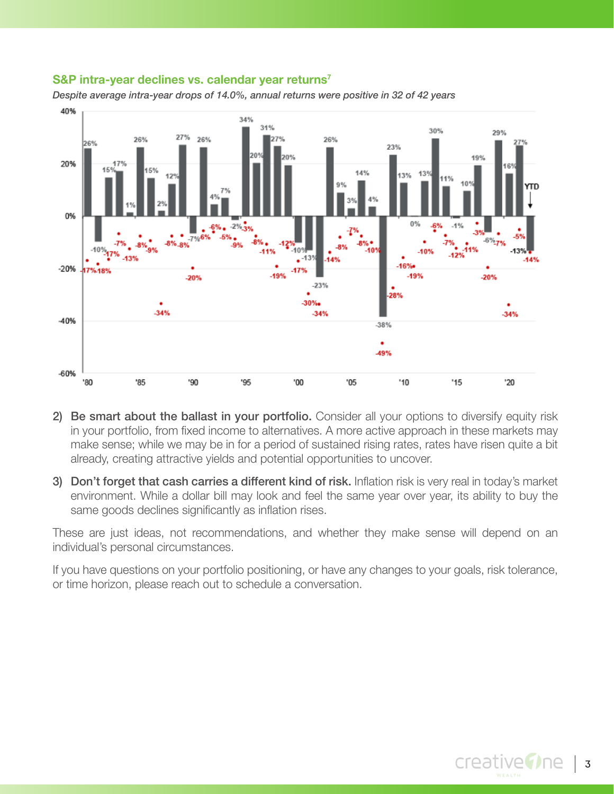#### **S&P intra-year declines vs. calendar year returns<sup>7</sup>**



*Despite average intra-year drops of 14.0%, annual returns were positive in 32 of 42 years*

- 2) Be smart about the ballast in your portfolio. Consider all your options to diversify equity risk in your portfolio, from fixed income to alternatives. A more active approach in these markets may make sense; while we may be in for a period of sustained rising rates, rates have risen quite a bit already, creating attractive yields and potential opportunities to uncover.
- 3) Don't forget that cash carries a different kind of risk. Inflation risk is very real in today's market environment. While a dollar bill may look and feel the same year over year, its ability to buy the same goods declines significantly as inflation rises.

These are just ideas, not recommendations, and whether they make sense will depend on an individual's personal circumstances.

If you have questions on your portfolio positioning, or have any changes to your goals, risk tolerance, or time horizon, please reach out to schedule a conversation.